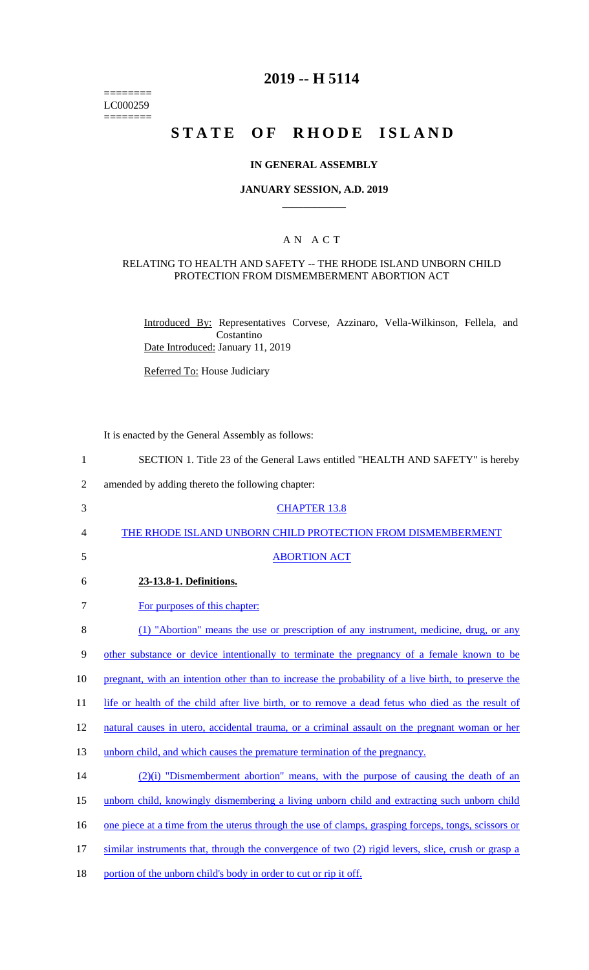======== LC000259  $=$ 

# **2019 -- H 5114**

# **STATE OF RHODE ISLAND**

#### **IN GENERAL ASSEMBLY**

#### **JANUARY SESSION, A.D. 2019 \_\_\_\_\_\_\_\_\_\_\_\_**

### A N A C T

#### RELATING TO HEALTH AND SAFETY -- THE RHODE ISLAND UNBORN CHILD PROTECTION FROM DISMEMBERMENT ABORTION ACT

Introduced By: Representatives Corvese, Azzinaro, Vella-Wilkinson, Fellela, and Costantino Date Introduced: January 11, 2019

Referred To: House Judiciary

It is enacted by the General Assembly as follows:

| $\mathbf{1}$   | SECTION 1. Title 23 of the General Laws entitled "HEALTH AND SAFETY" is hereby                      |
|----------------|-----------------------------------------------------------------------------------------------------|
| $\mathfrak{2}$ | amended by adding thereto the following chapter:                                                    |
| 3              | <b>CHAPTER 13.8</b>                                                                                 |
| 4              | THE RHODE ISLAND UNBORN CHILD PROTECTION FROM DISMEMBERMENT                                         |
| 5              | <b>ABORTION ACT</b>                                                                                 |
| 6              | 23-13.8-1. Definitions.                                                                             |
| 7              | For purposes of this chapter:                                                                       |
| 8              | (1) "Abortion" means the use or prescription of any instrument, medicine, drug, or any              |
| 9              | other substance or device intentionally to terminate the pregnancy of a female known to be          |
| 10             | pregnant, with an intention other than to increase the probability of a live birth, to preserve the |
| 11             | life or health of the child after live birth, or to remove a dead fetus who died as the result of   |
| 12             | natural causes in utero, accidental trauma, or a criminal assault on the pregnant woman or her      |
| 13             | unborn child, and which causes the premature termination of the pregnancy.                          |
| 14             | $(2)(i)$ "Dismemberment abortion" means, with the purpose of causing the death of an                |
| 15             | unborn child, knowingly dismembering a living unborn child and extracting such unborn child         |
| 16             | one piece at a time from the uterus through the use of clamps, grasping forceps, tongs, scissors or |
| 17             | similar instruments that, through the convergence of two (2) rigid levers, slice, crush or grasp a  |
| 18             | portion of the unborn child's body in order to cut or rip it off.                                   |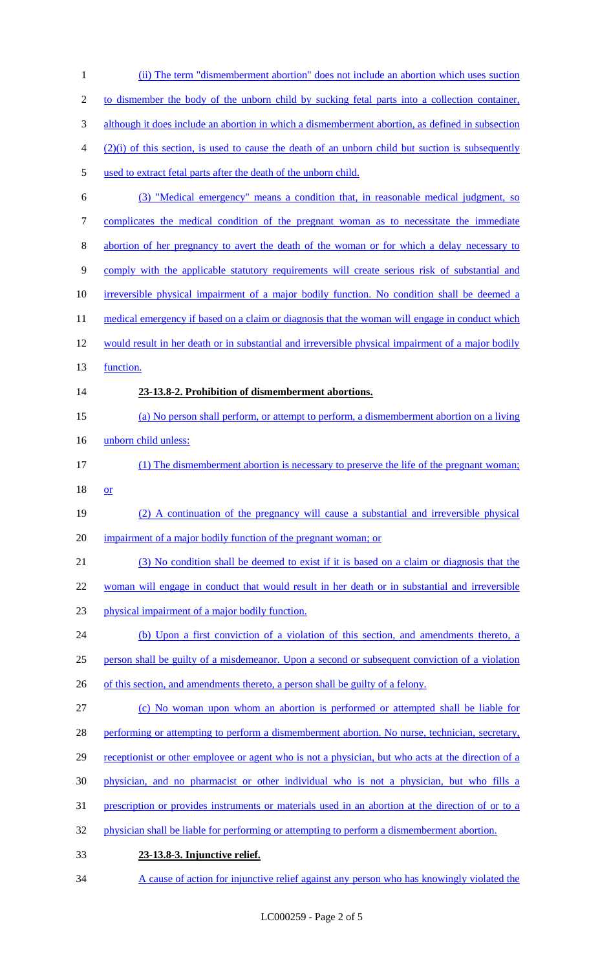(ii) The term "dismemberment abortion" does not include an abortion which uses suction to dismember the body of the unborn child by sucking fetal parts into a collection container, although it does include an abortion in which a dismemberment abortion, as defined in subsection (2)(i) of this section, is used to cause the death of an unborn child but suction is subsequently used to extract fetal parts after the death of the unborn child. (3) "Medical emergency" means a condition that, in reasonable medical judgment, so complicates the medical condition of the pregnant woman as to necessitate the immediate abortion of her pregnancy to avert the death of the woman or for which a delay necessary to comply with the applicable statutory requirements will create serious risk of substantial and irreversible physical impairment of a major bodily function. No condition shall be deemed a 11 medical emergency if based on a claim or diagnosis that the woman will engage in conduct which would result in her death or in substantial and irreversible physical impairment of a major bodily 13 function. **23-13.8-2. Prohibition of dismemberment abortions.** (a) No person shall perform, or attempt to perform, a dismemberment abortion on a living unborn child unless: (1) The dismemberment abortion is necessary to preserve the life of the pregnant woman; or (2) A continuation of the pregnancy will cause a substantial and irreversible physical 20 impairment of a major bodily function of the pregnant woman; or (3) No condition shall be deemed to exist if it is based on a claim or diagnosis that the woman will engage in conduct that would result in her death or in substantial and irreversible physical impairment of a major bodily function. (b) Upon a first conviction of a violation of this section, and amendments thereto, a person shall be guilty of a misdemeanor. Upon a second or subsequent conviction of a violation 26 of this section, and amendments thereto, a person shall be guilty of a felony. (c) No woman upon whom an abortion is performed or attempted shall be liable for 28 performing or attempting to perform a dismemberment abortion. No nurse, technician, secretary, 29 receptionist or other employee or agent who is not a physician, but who acts at the direction of a physician, and no pharmacist or other individual who is not a physician, but who fills a prescription or provides instruments or materials used in an abortion at the direction of or to a physician shall be liable for performing or attempting to perform a dismemberment abortion. **23-13.8-3. Injunctive relief.**

A cause of action for injunctive relief against any person who has knowingly violated the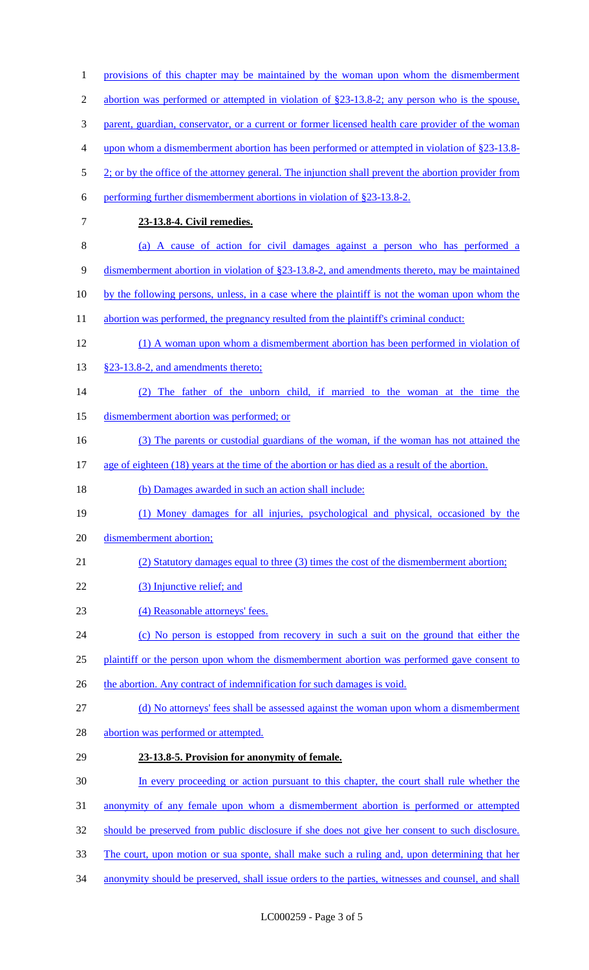| $\mathbf{1}$   | provisions of this chapter may be maintained by the woman upon whom the dismemberment                |
|----------------|------------------------------------------------------------------------------------------------------|
| $\overline{2}$ | abortion was performed or attempted in violation of $\S$ 23-13.8-2; any person who is the spouse,    |
| 3              | parent, guardian, conservator, or a current or former licensed health care provider of the woman     |
| 4              | upon whom a dismemberment abortion has been performed or attempted in violation of $\S 23$ -13.8-    |
| 5              | 2; or by the office of the attorney general. The injunction shall prevent the abortion provider from |
| 6              | performing further dismemberment abortions in violation of §23-13.8-2.                               |
| $\overline{7}$ | 23-13.8-4. Civil remedies.                                                                           |
| 8              | (a) A cause of action for civil damages against a person who has performed a                         |
| 9              | dismemberment abortion in violation of §23-13.8-2, and amendments thereto, may be maintained         |
| 10             | by the following persons, unless, in a case where the plaintiff is not the woman upon whom the       |
| 11             | abortion was performed, the pregnancy resulted from the plaintiff's criminal conduct:                |
| 12             | (1) A woman upon whom a dismemberment abortion has been performed in violation of                    |
| 13             | §23-13.8-2, and amendments thereto;                                                                  |
| 14             | The father of the unborn child, if married to the woman at the time the                              |
| 15             | dismemberment abortion was performed; or                                                             |
| 16             | (3) The parents or custodial guardians of the woman, if the woman has not attained the               |
| 17             | age of eighteen (18) years at the time of the abortion or has died as a result of the abortion.      |
| 18             | (b) Damages awarded in such an action shall include:                                                 |
| 19             | (1) Money damages for all injuries, psychological and physical, occasioned by the                    |
| 20             | dismemberment abortion;                                                                              |
| 21             | (2) Statutory damages equal to three (3) times the cost of the dismemberment abortion;               |
| 22             | (3) Injunctive relief; and                                                                           |
| 23             | (4) Reasonable attorneys' fees.                                                                      |
| 24             | (c) No person is estopped from recovery in such a suit on the ground that either the                 |
| 25             | plaintiff or the person upon whom the dismemberment abortion was performed gave consent to           |
| 26             | the abortion. Any contract of indemnification for such damages is void.                              |
| 27             | (d) No attorneys' fees shall be assessed against the woman upon whom a dismemberment                 |
| 28             | abortion was performed or attempted.                                                                 |
| 29             | 23-13.8-5. Provision for anonymity of female.                                                        |
| 30             | In every proceeding or action pursuant to this chapter, the court shall rule whether the             |
| 31             | anonymity of any female upon whom a dismemberment abortion is performed or attempted                 |
| 32             | should be preserved from public disclosure if she does not give her consent to such disclosure.      |
| 33             | The court, upon motion or sua sponte, shall make such a ruling and, upon determining that her        |
| 34             | anonymity should be preserved, shall issue orders to the parties, witnesses and counsel, and shall   |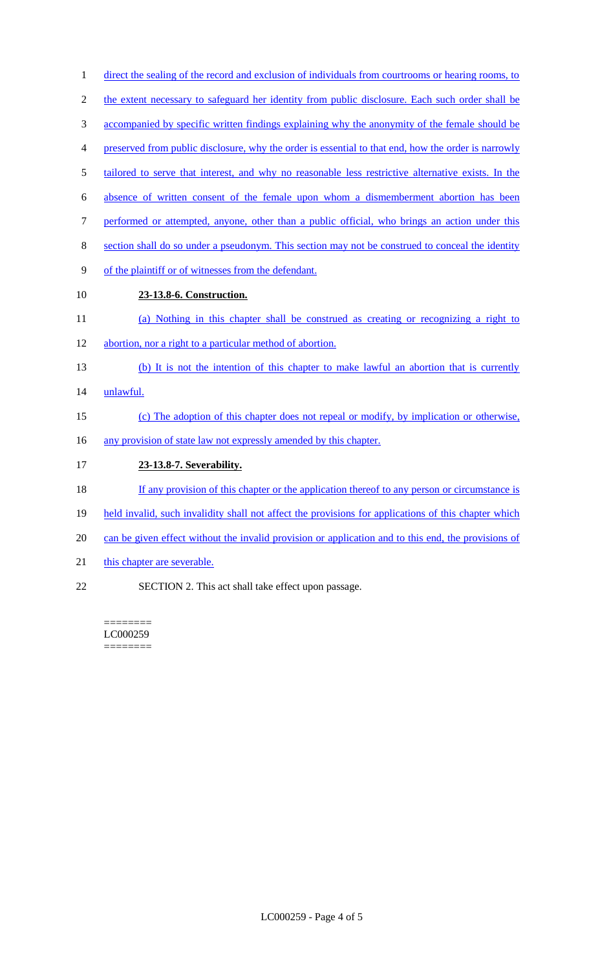| $\mathbf{1}$ | direct the sealing of the record and exclusion of individuals from courtrooms or hearing rooms, to   |
|--------------|------------------------------------------------------------------------------------------------------|
| 2            | the extent necessary to safeguard her identity from public disclosure. Each such order shall be      |
| 3            | accompanied by specific written findings explaining why the anonymity of the female should be        |
| 4            | preserved from public disclosure, why the order is essential to that end, how the order is narrowly  |
| 5            | tailored to serve that interest, and why no reasonable less restrictive alternative exists. In the   |
| 6            | absence of written consent of the female upon whom a dismemberment abortion has been                 |
| 7            | performed or attempted, anyone, other than a public official, who brings an action under this        |
| 8            | section shall do so under a pseudonym. This section may not be construed to conceal the identity     |
| 9            | of the plaintiff or of witnesses from the defendant.                                                 |
| 10           | 23-13.8-6. Construction.                                                                             |
| 11           | (a) Nothing in this chapter shall be construed as creating or recognizing a right to                 |
| 12           | abortion, nor a right to a particular method of abortion.                                            |
| 13           | (b) It is not the intention of this chapter to make lawful an abortion that is currently             |
| 14           | unlawful.                                                                                            |
| 15           | (c) The adoption of this chapter does not repeal or modify, by implication or otherwise,             |
| 16           | any provision of state law not expressly amended by this chapter.                                    |
| 17           | 23-13.8-7. Severability.                                                                             |
| 18           | If any provision of this chapter or the application thereof to any person or circumstance is         |
| 19           | held invalid, such invalidity shall not affect the provisions for applications of this chapter which |
| 20           | can be given effect without the invalid provision or application and to this end, the provisions of  |
| 21           | this chapter are severable.                                                                          |

22 SECTION 2. This act shall take effect upon passage.

======== LC000259 ========